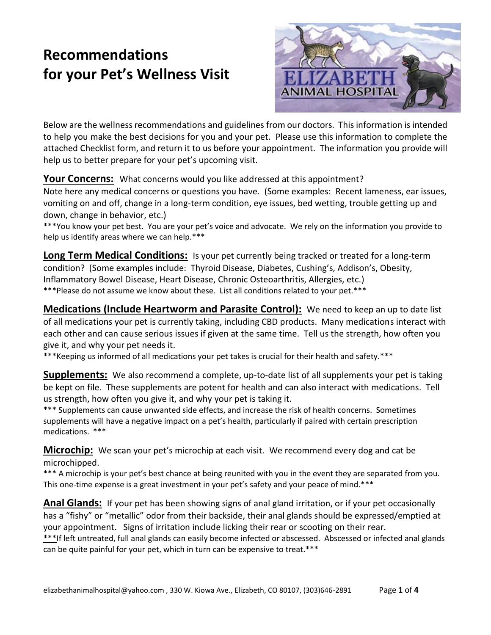# **Recommendations for your Pet's Wellness Visit**



Below are the wellness recommendations and guidelines from our doctors. This information is intended to help you make the best decisions for you and your pet. Please use this information to complete the attached Checklist form, and return it to us before your appointment. The information you provide will help us to better prepare for your pet's upcoming visit.

**Your Concerns:** What concerns would you like addressed at this appointment?

Note here any medical concerns or questions you have. (Some examples: Recent lameness, ear issues, vomiting on and off, change in a long-term condition, eye issues, bed wetting, trouble getting up and down, change in behavior, etc.)

\*\*\*You know your pet best. You are your pet's voice and advocate. We rely on the information you provide to help us identify areas where we can help.\*\*\*

**Long Term Medical Conditions:** Is your pet currently being tracked or treated for a long-term condition? (Some examples include: Thyroid Disease, Diabetes, Cushing's, Addison's, Obesity, Inflammatory Bowel Disease, Heart Disease, Chronic Osteoarthritis, Allergies, etc.) \*\*\*Please do not assume we know about these. List all conditions related to your pet.\*\*\*

**Medications (Include Heartworm and Parasite Control):** We need to keep an up to date list of all medications your pet is currently taking, including CBD products. Many medications interact with each other and can cause serious issues if given at the same time. Tell us the strength, how often you give it, and why your pet needs it.

\*\*\*Keeping us informed of all medications your pet takes is crucial for their health and safety.\*\*\*

**Supplements:** We also recommend a complete, up-to-date list of all supplements your pet is taking be kept on file. These supplements are potent for health and can also interact with medications. Tell us strength, how often you give it, and why your pet is taking it.

\*\*\* Supplements can cause unwanted side effects, and increase the risk of health concerns. Sometimes supplements will have a negative impact on a pet's health, particularly if paired with certain prescription medications. \*\*\*

**Microchip:** We scan your pet's microchip at each visit. We recommend every dog and cat be microchipped.

\*\*\* A microchip is your pet's best chance at being reunited with you in the event they are separated from you. This one-time expense is a great investment in your pet's safety and your peace of mind.\*\*\*

**Anal Glands:** If your pet has been showing signs of anal gland irritation, or if your pet occasionally has a "fishy" or "metallic" odor from their backside, their anal glands should be expressed/emptied at your appointment. Signs of irritation include licking their rear or scooting on their rear. \*\*\*If left untreated, full anal glands can easily become infected or abscessed. Abscessed or infected anal glands can be quite painful for your pet, which in turn can be expensive to treat.\*\*\*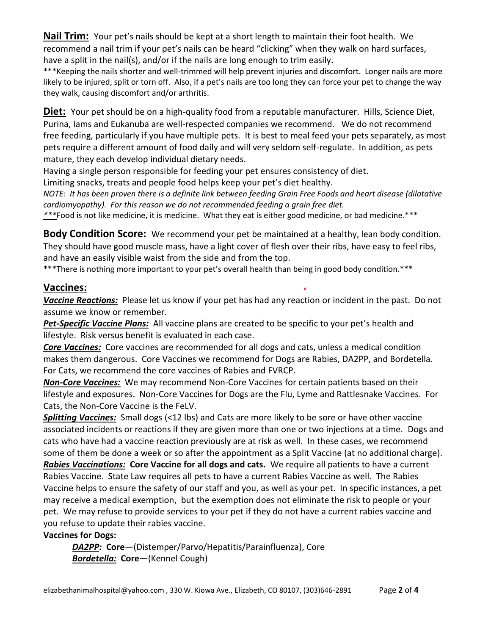**Nail Trim:** Your pet's nails should be kept at a short length to maintain their foot health. We recommend a nail trim if your pet's nails can be heard "clicking" when they walk on hard surfaces, have a split in the nail(s), and/or if the nails are long enough to trim easily.

\*\*\*Keeping the nails shorter and well-trimmed will help prevent injuries and discomfort. Longer nails are more likely to be injured, split or torn off. Also, if a pet's nails are too long they can force your pet to change the way they walk, causing discomfort and/or arthritis.

Diet: Your pet should be on a high-quality food from a reputable manufacturer. Hills, Science Diet, Purina, Iams and Eukanuba are well-respected companies we recommend. We do not recommend free feeding, particularly if you have multiple pets. It is best to meal feed your pets separately, as most pets require a different amount of food daily and will very seldom self-regulate. In addition, as pets mature, they each develop individual dietary needs.

Having a single person responsible for feeding your pet ensures consistency of diet.

Limiting snacks, treats and people food helps keep your pet's diet healthy.

*NOTE: It has been proven there is a definite link between feeding Grain Free Foods and heart disease (dilatative cardiomyopathy). For this reason we do not recommended feeding a grain free diet.*

*\*\*\**Food is not like medicine, it is medicine. What they eat is either good medicine, or bad medicine.\*\*\*

**Body Condition Score:** We recommend your pet be maintained at a healthy, lean body condition. They should have good muscle mass, have a light cover of flesh over their ribs, have easy to feel ribs, and have an easily visible waist from the side and from the top.

\*\*\*There is nothing more important to your pet's overall health than being in good body condition.\*\*\*

### **Vaccines:**

*Vaccine Reactions:* Please let us know if your pet has had any reaction or incident in the past. Do not assume we know or remember.

*Pet-Specific Vaccine Plans:* All vaccine plans are created to be specific to your pet's health and lifestyle. Risk versus benefit is evaluated in each case.

*Core Vaccines:* Core vaccines are recommended for all dogs and cats, unless a medical condition makes them dangerous. Core Vaccines we recommend for Dogs are Rabies, DA2PP, and Bordetella. For Cats, we recommend the core vaccines of Rabies and FVRCP.

*Non-Core Vaccines:* We may recommend Non-Core Vaccines for certain patients based on their lifestyle and exposures. Non-Core Vaccines for Dogs are the Flu, Lyme and Rattlesnake Vaccines. For Cats, the Non-Core Vaccine is the FeLV.

*Splitting Vaccines:* Small dogs (<12 lbs) and Cats are more likely to be sore or have other vaccine associated incidents or reactions if they are given more than one or two injections at a time. Dogs and cats who have had a vaccine reaction previously are at risk as well. In these cases, we recommend some of them be done a week or so after the appointment as a Split Vaccine (at no additional charge).

*Rabies Vaccinations:* **Core Vaccine for all dogs and cats.** We require all patients to have a current Rabies Vaccine. State Law requires all pets to have a current Rabies Vaccine as well. The Rabies Vaccine helps to ensure the safety of our staff and you, as well as your pet. In specific instances, a pet may receive a medical exemption, but the exemption does not eliminate the risk to people or your pet. We may refuse to provide services to your pet if they do not have a current rabies vaccine and you refuse to update their rabies vaccine.

#### **Vaccines for Dogs:**

*DA2PP:* **Core**—(Distemper/Parvo/Hepatitis/Parainfluenza), Core *Bordetella:* **Core**—(Kennel Cough)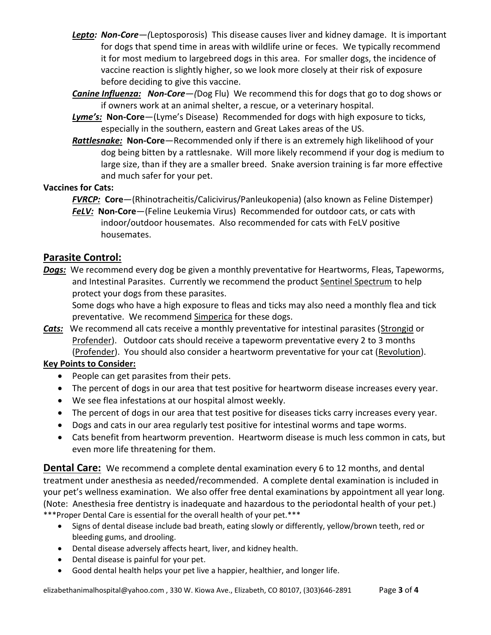- *Lepto: Non-Core—(*Leptosporosis) This disease causes liver and kidney damage. It is important for dogs that spend time in areas with wildlife urine or feces. We typically recommend it for most medium to largebreed dogs in this area. For smaller dogs, the incidence of vaccine reaction is slightly higher, so we look more closely at their risk of exposure before deciding to give this vaccine.
- *Canine Influenza: Non-Core—(*Dog Flu) We recommend this for dogs that go to dog shows or if owners work at an animal shelter, a rescue, or a veterinary hospital.
- *Lyme's:* **Non-Core**—(Lyme's Disease) Recommended for dogs with high exposure to ticks, especially in the southern, eastern and Great Lakes areas of the US.
- *Rattlesnake:* **Non-Core**—Recommended only if there is an extremely high likelihood of your dog being bitten by a rattlesnake. Will more likely recommend if your dog is medium to large size, than if they are a smaller breed. Snake aversion training is far more effective and much safer for your pet.

#### **Vaccines for Cats:**

*FVRCP:* **Core**—(Rhinotracheitis/Calicivirus/Panleukopenia) (also known as Feline Distemper)

*FeLV:* **Non-Core**—(Feline Leukemia Virus) Recommended for outdoor cats, or cats with indoor/outdoor housemates. Also recommended for cats with FeLV positive housemates.

## **Parasite Control:**

*Dogs:* We recommend every dog be given a monthly preventative for Heartworms, Fleas, Tapeworms, and Intestinal Parasites. Currently we recommend the product Sentinel Spectrum to help protect your dogs from these parasites.

Some dogs who have a high exposure to fleas and ticks may also need a monthly flea and tick preventative. We recommend Simperica for these dogs.

*Cats:* We recommend all cats receive a monthly preventative for intestinal parasites (Strongid or Profender). Outdoor cats should receive a tapeworm preventative every 2 to 3 months (Profender). You should also consider a heartworm preventative for your cat (Revolution).

## **Key Points to Consider:**

- People can get parasites from their pets.
- The percent of dogs in our area that test positive for heartworm disease increases every year.
- We see flea infestations at our hospital almost weekly.
- The percent of dogs in our area that test positive for diseases ticks carry increases every year.
- Dogs and cats in our area regularly test positive for intestinal worms and tape worms.
- Cats benefit from heartworm prevention. Heartworm disease is much less common in cats, but even more life threatening for them.

**Dental Care:** We recommend a complete dental examination every 6 to 12 months, and dental treatment under anesthesia as needed/recommended. A complete dental examination is included in your pet's wellness examination. We also offer free dental examinations by appointment all year long. (Note: Anesthesia free dentistry is inadequate and hazardous to the periodontal health of your pet.) \*\*\*Proper Dental Care is essential for the overall health of your pet.\*\*\*

- Signs of dental disease include bad breath, eating slowly or differently, yellow/brown teeth, red or bleeding gums, and drooling.
- Dental disease adversely affects heart, liver, and kidney health.
- Dental disease is painful for your pet.
- Good dental health helps your pet live a happier, healthier, and longer life.